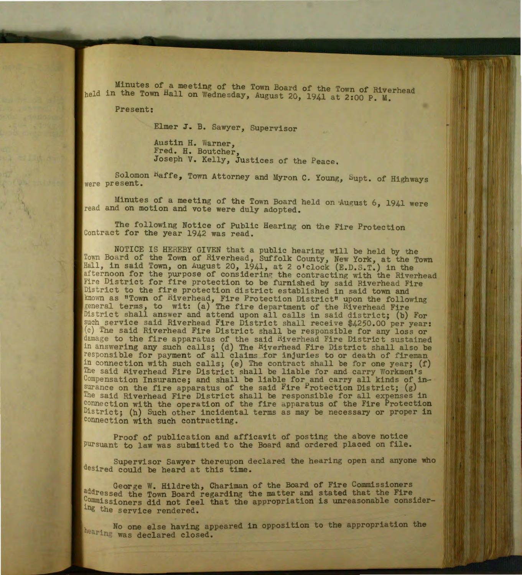Minutes of a meeting of the Town Board of the Town of Riverhead held in the Town Hall on Wednesday, August 20, 1941 at 2:00 P. M.

Present:

Elmer J. B. Sawyer, Supervisor

Austin H. Warner, Fred. H. Boutcher, Joseph V. Kelly, Justices of the Peace.

Solomon Kaffe, Town Attorney and Myron C. Young, Supt. of Highways were present.

Minutes of a meeting of the Town Board held on August 6, 1941 were read and on motion and vote were duly adopted.

The following Notice of Public Hearing on the Fire Protection Contract for the year 1942 was read.

NOTICE IS HEREBY GIVEN that a public hearing will be held by the Town Board of the Town of Riverhead, Suffolk County, New York, at the Town Hall, in said Town, on August 20, 1941, at 2 o'clock (E.D.S.T.) in the afternoon for the purpose of considering the contracting with the Riverhead Fire District for fire protection to be furnished by said Riverhead Fire District to the fire protection district established in said town and known as "Town of Riverhead, Fire Protection District" upon the following general terms, to wit: (a) The fire department of the Riverhead Fire District shall answer and attend upon all calls in said district; (b) For such service said Riverhead Fire District shall receive \$4250.00 per year: (c) The said Riverhead Fire District shall be responsible for any loss or damage to the fire apparatus of the said Riverhead Fire District sustained in answering any such calls; (d) The Hiverhead Fire District shall also be responsible for payment of all claims for injuries to or death of fireman in connection with such calls; (e) The contract shall be for one year;  $(f)$ The said Riverhead Fire District shall be liable for and carry Workmen's Compensation Insurance; and shall be liable for and carry all kinds of insurance on the fire apparatus of the said Fire  $P$ rotection District; (g) The said Riverhead Fire District shall be responsible for all expenses in connection with the operation of the fire apparatus of the Fire Protection District; (h) Such other incidental terms as may be necessary or proper in connection with such contracting.

Proof of publication and afficavit of posting the above notice Pursuant to law was submitted to the Board and ordered placed on file.

Supervisor Sawyer thereupon declared the hearing open and anyone who desired could be heard at this time.

George W. Hildreth, Chariman of the Board of Fire Commissioners addressed the Town Board regarding the matter and stated that the Fire  $Commissible$  commissioners did not feel that the appropriation is unreasonable considering the service rendered.

No one else having appeared in opposition to the appropriation the hearing was declared closed.